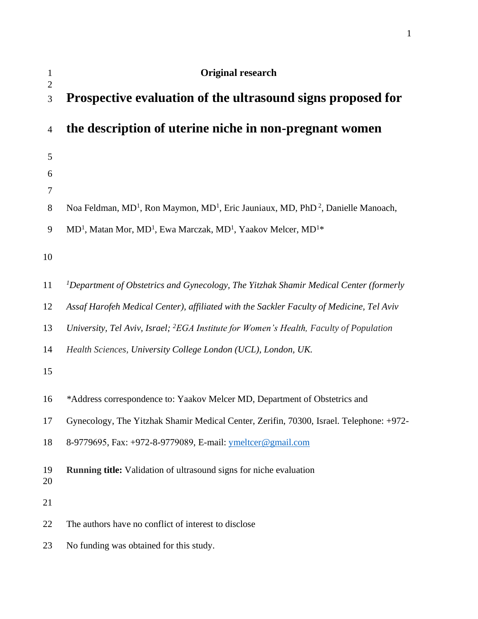| $\mathbf{1}$<br>$\overline{2}$ | Original research                                                                                                    |
|--------------------------------|----------------------------------------------------------------------------------------------------------------------|
| 3                              | Prospective evaluation of the ultrasound signs proposed for                                                          |
| 4                              | the description of uterine niche in non-pregnant women                                                               |
| 5                              |                                                                                                                      |
| 6                              |                                                                                                                      |
| 7                              |                                                                                                                      |
| 8                              | Noa Feldman, MD <sup>1</sup> , Ron Maymon, MD <sup>1</sup> , Eric Jauniaux, MD, PhD <sup>2</sup> , Danielle Manoach, |
| 9                              | MD <sup>1</sup> , Matan Mor, MD <sup>1</sup> , Ewa Marczak, MD <sup>1</sup> , Yaakov Melcer, MD <sup>1</sup> *       |
| 10                             |                                                                                                                      |
| 11                             | <sup>1</sup> Department of Obstetrics and Gynecology, The Yitzhak Shamir Medical Center (formerly                    |
| 12                             | Assaf Harofeh Medical Center), affiliated with the Sackler Faculty of Medicine, Tel Aviv                             |
| 13                             | University, Tel Aviv, Israel; <sup>2</sup> EGA Institute for Women's Health, Faculty of Population                   |
| 14                             | Health Sciences, University College London (UCL), London, UK.                                                        |
| 15                             |                                                                                                                      |
| 16                             | *Address correspondence to: Yaakov Melcer MD, Department of Obstetrics and                                           |
| 17                             | Gynecology, The Yitzhak Shamir Medical Center, Zerifin, 70300, Israel. Telephone: +972-                              |
| 18                             | 8-9779695, Fax: +972-8-9779089, E-mail: ymeltcer@gmail.com                                                           |
| 19<br>20                       | Running title: Validation of ultrasound signs for niche evaluation                                                   |
| 21                             |                                                                                                                      |
| 22                             | The authors have no conflict of interest to disclose                                                                 |
| 23                             | No funding was obtained for this study.                                                                              |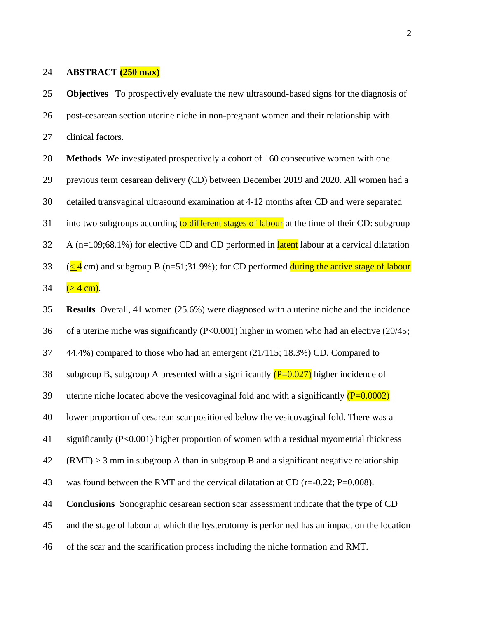#### **ABSTRACT (250 max)**

 **Objectives** To prospectively evaluate the new ultrasound-based signs for the diagnosis of post-cesarean section uterine niche in non-pregnant women and their relationship with clinical factors.

 **Methods** We investigated prospectively a cohort of 160 consecutive women with one previous term cesarean delivery (CD) between December 2019 and 2020. All women had a detailed transvaginal ultrasound examination at 4-12 months after CD and were separated 31 into two subgroups according to different stages of labour at the time of their CD: subgroup A (n=109;68.1%) for elective CD and CD performed in **latent** labour at a cervical dilatation 33 ( $\leq$  4 cm) and subgroup B (n=51;31.9%); for CD performed during the active stage of labour  $(> 4 \text{ cm})$ .

**Results** Overall, 41 women (25.6%) were diagnosed with a uterine niche and the incidence

of a uterine niche was significantly (P<0.001) higher in women who had an elective (20/45;

44.4%) compared to those who had an emergent (21/115; 18.3%) CD. Compared to

38 subgroup B, subgroup A presented with a significantly  $(P=0.027)$  higher incidence of

39 uterine niche located above the vesicovaginal fold and with a significantly  $(P=0.0002)$ 

lower proportion of cesarean scar positioned below the vesicovaginal fold. There was a

significantly (P<0.001) higher proportion of women with a residual myometrial thickness

(RMT)  $>$  3 mm in subgroup A than in subgroup B and a significant negative relationship

43 was found between the RMT and the cervical dilatation at CD ( $r=-0.22$ ; P=0.008).

**Conclusions** Sonographic cesarean section scar assessment indicate that the type of CD

and the stage of labour at which the hysterotomy is performed has an impact on the location

of the scar and the scarification process including the niche formation and RMT.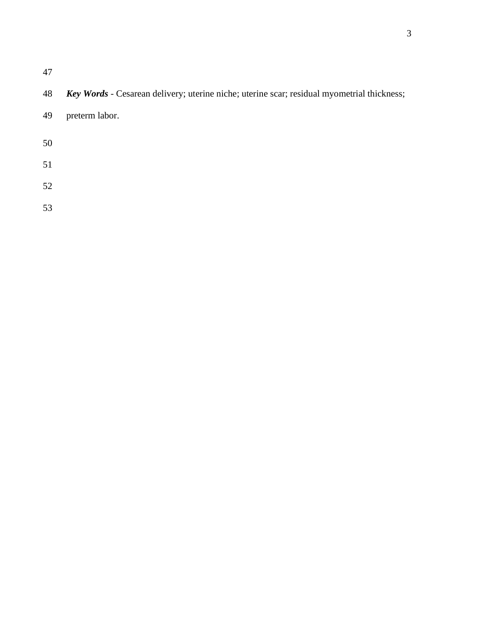# *Key Words* - Cesarean delivery; uterine niche; uterine scar; residual myometrial thickness;

preterm labor.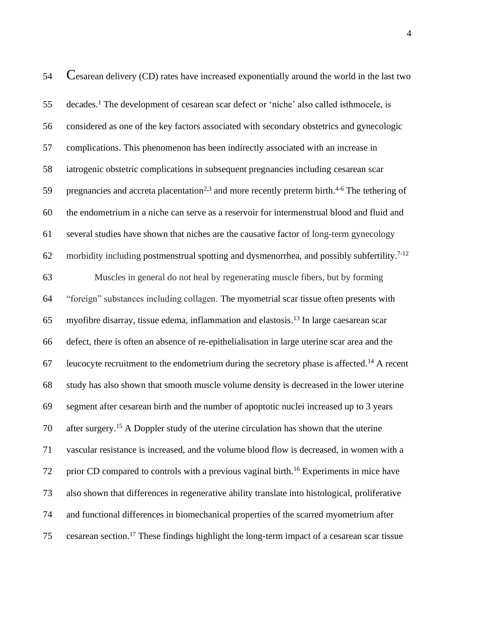| 54 | Cesarean delivery (CD) rates have increased exponentially around the world in the last two                           |
|----|----------------------------------------------------------------------------------------------------------------------|
| 55 | decades. <sup>1</sup> The development of cesarean scar defect or 'niche' also called isthmocele, is                  |
| 56 | considered as one of the key factors associated with secondary obstetrics and gynecologic                            |
| 57 | complications. This phenomenon has been indirectly associated with an increase in                                    |
| 58 | iatrogenic obstetric complications in subsequent pregnancies including cesarean scar                                 |
| 59 | pregnancies and accreta placentation <sup>2,3</sup> and more recently preterm birth. <sup>4-6</sup> The tethering of |
| 60 | the endometrium in a niche can serve as a reservoir for intermenstrual blood and fluid and                           |
| 61 | several studies have shown that niches are the causative factor of long-term gynecology                              |
| 62 | morbidity including postmenstrual spotting and dysmenorrhea, and possibly subfertility. <sup>7-12</sup>              |
| 63 | Muscles in general do not heal by regenerating muscle fibers, but by forming                                         |
| 64 | "foreign" substances including collagen. The myometrial scar tissue often presents with                              |
| 65 | myofibre disarray, tissue edema, inflammation and elastosis. <sup>13</sup> In large caesarean scar                   |
| 66 | defect, there is often an absence of re-epithelialisation in large uterine scar area and the                         |
| 67 | leucocyte recruitment to the endometrium during the secretory phase is affected. <sup>14</sup> A recent              |
| 68 | study has also shown that smooth muscle volume density is decreased in the lower uterine                             |
| 69 | segment after cesarean birth and the number of apoptotic nuclei increased up to 3 years                              |
| 70 | after surgery. <sup>15</sup> A Doppler study of the uterine circulation has shown that the uterine                   |
| 71 | vascular resistance is increased, and the volume blood flow is decreased, in women with a                            |
| 72 | prior CD compared to controls with a previous vaginal birth. <sup>16</sup> Experiments in mice have                  |
| 73 | also shown that differences in regenerative ability translate into histological, proliferative                       |
| 74 | and functional differences in biomechanical properties of the scarred myometrium after                               |
| 75 | cesarean section. <sup>17</sup> These findings highlight the long-term impact of a cesarean scar tissue              |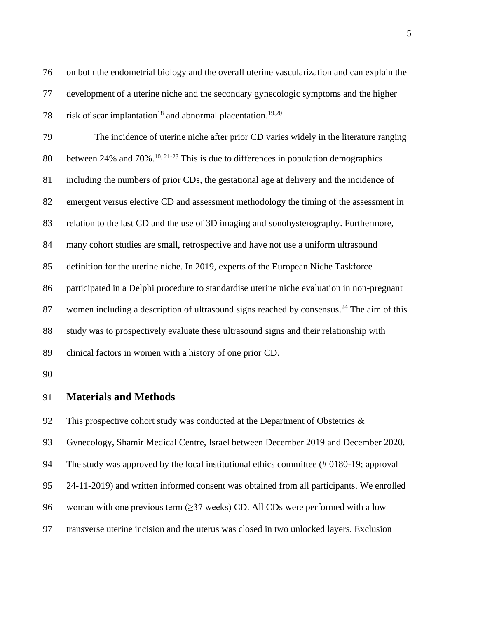on both the endometrial biology and the overall uterine vascularization and can explain the development of a uterine niche and the secondary gynecologic symptoms and the higher 78 risk of scar implantation<sup>18</sup> and abnormal placentation.<sup>19,20</sup> The incidence of uterine niche after prior CD varies widely in the literature ranging 80 between 24% and 70%.<sup>10, 21-23</sup> This is due to differences in population demographics including the numbers of prior CDs, the gestational age at delivery and the incidence of emergent versus elective CD and assessment methodology the timing of the assessment in relation to the last CD and the use of 3D imaging and sonohysterography. Furthermore, many cohort studies are small, retrospective and have not use a uniform ultrasound definition for the uterine niche. In 2019, experts of the European Niche Taskforce participated in a Delphi procedure to standardise uterine niche evaluation in non-pregnant 87 women including a description of ultrasound signs reached by consensus.<sup>24</sup> The aim of this study was to prospectively evaluate these ultrasound signs and their relationship with clinical factors in women with a history of one prior CD. 

## **Materials and Methods**

92 This prospective cohort study was conducted at the Department of Obstetrics  $\&$ 

Gynecology, Shamir Medical Centre, Israel between December 2019 and December 2020.

The study was approved by the local institutional ethics committee (# 0180-19; approval

24-11-2019) and written informed consent was obtained from all participants. We enrolled

- 96 woman with one previous term  $(\geq)37$  weeks) CD. All CDs were performed with a low
- transverse uterine incision and the uterus was closed in two unlocked layers. Exclusion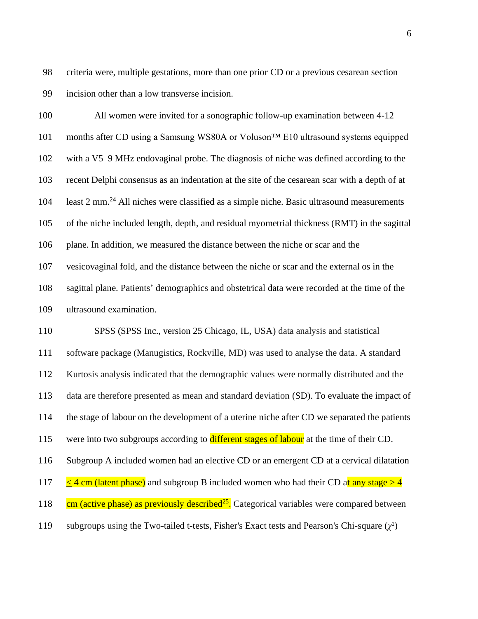criteria were, multiple gestations, more than one prior CD or a previous cesarean section incision other than a low transverse incision.

100 All women were invited for a sonographic follow-up examination between 4-12 months after CD using a Samsung WS80A or Voluson™ E10 ultrasound systems equipped with a V5–9 MHz endovaginal probe. The diagnosis of niche was defined according to the recent Delphi consensus as an indentation at the site of the cesarean scar with a depth of at 104 least 2 mm.<sup>24</sup> All niches were classified as a simple niche. Basic ultrasound measurements of the niche included length, depth, and residual myometrial thickness (RMT) in the sagittal plane. In addition, we measured the distance between the niche or scar and the vesicovaginal fold, and the distance between the niche or scar and the external os in the sagittal plane. Patients' demographics and obstetrical data were recorded at the time of the ultrasound examination.

 SPSS (SPSS Inc., version 25 Chicago, IL, USA) data analysis and statistical software package (Manugistics, Rockville, MD) was used to analyse the data. A standard Kurtosis analysis indicated that the demographic values were normally distributed and the data are therefore presented as mean and standard deviation (SD). To evaluate the impact of the stage of labour on the development of a uterine niche after CD we separated the patients 115 were into two subgroups according to **different stages of labour** at the time of their CD. Subgroup A included women had an elective CD or an emergent CD at a cervical dilatation  $\leq$  4 cm (latent phase) and subgroup B included women who had their CD at any stage  $>$  4  $\cdot$  cm (active phase) as previously described<sup>25</sup>. Categorical variables were compared between 119 subgroups using the Two-tailed t-tests, Fisher's Exact tests and Pearson's Chi-square (χ<sup>2</sup>)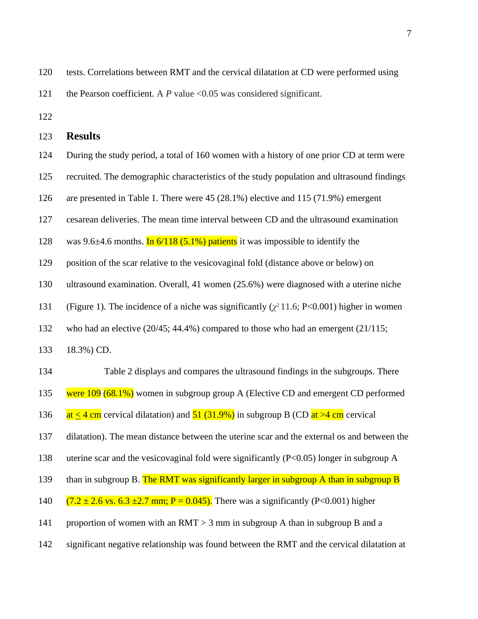| 120 | tests. Correlations between RMT and the cervical dilatation at CD were performed using |
|-----|----------------------------------------------------------------------------------------|
| 121 | the Pearson coefficient. A P value $< 0.05$ was considered significant.                |

| 123 | <b>Results</b>                                                                                                                                           |
|-----|----------------------------------------------------------------------------------------------------------------------------------------------------------|
| 124 | During the study period, a total of 160 women with a history of one prior CD at term were                                                                |
| 125 | recruited. The demographic characteristics of the study population and ultrasound findings                                                               |
| 126 | are presented in Table 1. There were 45 (28.1%) elective and 115 (71.9%) emergent                                                                        |
| 127 | cesarean deliveries. The mean time interval between CD and the ultrasound examination                                                                    |
| 128 | was 9.6 $\pm$ 4.6 months. In 6/118 (5.1%) patients it was impossible to identify the                                                                     |
| 129 | position of the scar relative to the vesicovaginal fold (distance above or below) on                                                                     |
| 130 | ultrasound examination. Overall, 41 women (25.6%) were diagnosed with a uterine niche                                                                    |
| 131 | (Figure 1). The incidence of a niche was significantly $(\chi^2 11.6; P<0.001)$ higher in women                                                          |
| 132 | who had an elective $(20/45; 44.4\%)$ compared to those who had an emergent $(21/115;$                                                                   |
| 133 | 18.3%) CD.                                                                                                                                               |
| 134 | Table 2 displays and compares the ultrasound findings in the subgroups. There                                                                            |
| 135 | were $109$ (68.1%) women in subgroup group A (Elective CD and emergent CD performed                                                                      |
| 136 | $\frac{\text{at} \leq 4 \text{ cm}}{2}$ cervical dilatation) and $\frac{51 (31.9\%)}{2}$ in subgroup B (CD $\frac{\text{at} > 4 \text{ cm}}{2}$ cervical |
| 137 | dilatation). The mean distance between the uterine scar and the external os and between the                                                              |
| 138 | uterine scar and the vesicovaginal fold were significantly $(P<0.05)$ longer in subgroup A                                                               |
| 139 | than in subgroup B. The RMT was significantly larger in subgroup A than in subgroup B                                                                    |
| 140 | $(7.2 \pm 2.6 \text{ vs. } 6.3 \pm 2.7 \text{ mm}; P = 0.045)$ . There was a significantly (P<0.001) higher                                              |
| 141 | proportion of women with an $RMT > 3$ mm in subgroup A than in subgroup B and a                                                                          |
| 142 | significant negative relationship was found between the RMT and the cervical dilatation at                                                               |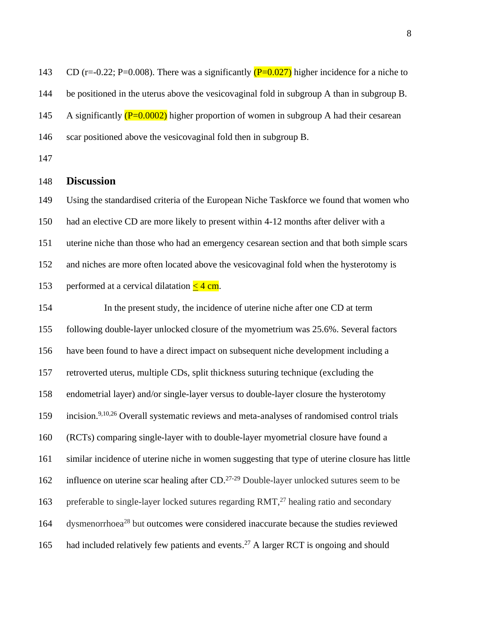143 CD (r=-0.22; P=0.008). There was a significantly  $(P=0.027)$  higher incidence for a niche to be positioned in the uterus above the vesicovaginal fold in subgroup A than in subgroup B. 145 A significantly  $(P=0.0002)$  higher proportion of women in subgroup A had their cesarean scar positioned above the vesicovaginal fold then in subgroup B.

### **Discussion**

 Using the standardised criteria of the European Niche Taskforce we found that women who had an elective CD are more likely to present within 4-12 months after deliver with a uterine niche than those who had an emergency cesarean section and that both simple scars and niches are more often located above the vesicovaginal fold when the hysterotomy is 153 performed at a cervical dilatation  $\leq 4$  cm.

 In the present study, the incidence of uterine niche after one CD at term following double-layer unlocked closure of the myometrium was 25.6%. Several factors have been found to have a direct impact on subsequent niche development including a retroverted uterus, multiple CDs, split thickness suturing technique (excluding the endometrial layer) and/or single-layer versus to double-layer closure the hysterotomy 159 incision.<sup>9,10,26</sup> Overall systematic reviews and meta-analyses of randomised control trials (RCTs) comparing single-layer with to double-layer myometrial closure have found a similar incidence of uterine niche in women suggesting that type of uterine closure has little 162 influence on uterine scar healing after CD. $^{27-29}$  Double-layer unlocked sutures seem to be 163 preferable to single-layer locked sutures regarding RMT,<sup>27</sup> healing ratio and secondary 164 dysmenorrhoea<sup>28</sup> but outcomes were considered inaccurate because the studies reviewed 165 had included relatively few patients and events.<sup>27</sup> A larger RCT is ongoing and should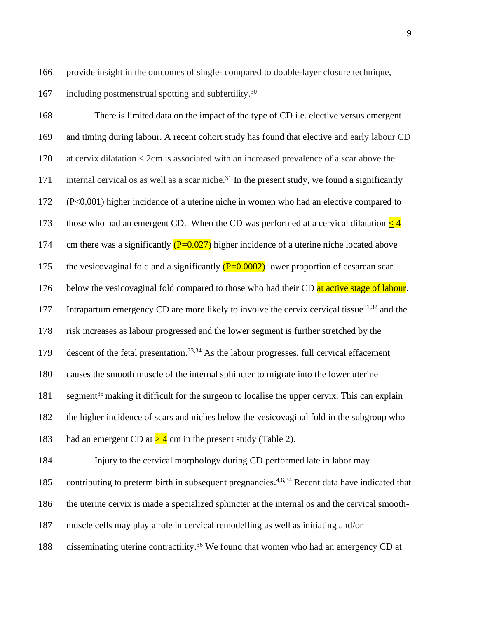166 provide insight in the outcomes of single- compared to double-layer closure technique,

167 including postmenstrual spotting and subfertility.<sup>30</sup>

168 There is limited data on the impact of the type of CD i.e. elective versus emergent 169 and timing during labour. A recent cohort study has found that elective and early labour CD 170 at cervix dilatation < 2cm is associated with an increased prevalence of a scar above the 171 internal cervical os as well as a scar niche.<sup>31</sup> In the present study, we found a significantly 172 (P<0.001) higher incidence of a uterine niche in women who had an elective compared to 173 those who had an emergent CD. When the CD was performed at a cervical dilatation  $\leq 4$ 174 cm there was a significantly  $(P=0.027)$  higher incidence of a uterine niche located above 175 the vesicovaginal fold and a significantly  $(P=0.0002)$  lower proportion of cesarean scar 176 below the vesicovaginal fold compared to those who had their CD at active stage of labour. IT7 Intrapartum emergency CD are more likely to involve the cervix cervical tissue $31,32$  and the 178 risk increases as labour progressed and the lower segment is further stretched by the 179 descent of the fetal presentation.  $33,34$  As the labour progresses, full cervical effacement 180 causes the smooth muscle of the internal sphincter to migrate into the lower uterine 181 segment<sup>35</sup> making it difficult for the surgeon to localise the upper cervix. This can explain 182 the higher incidence of scars and niches below the vesicovaginal fold in the subgroup who 183 had an emergent CD at  $>$  4 cm in the present study (Table 2). 184 Injury to the cervical morphology during CD performed late in labor may 185 contributing to preterm birth in subsequent pregnancies.<sup>4,6,34</sup> Recent data have indicated that

- 186 the uterine cervix is made a specialized sphincter at the internal os and the cervical smooth-
- 187 muscle cells may play a role in cervical remodelling as well as initiating and/or
- 188 disseminating uterine contractility.<sup>36</sup> We found that women who had an emergency CD at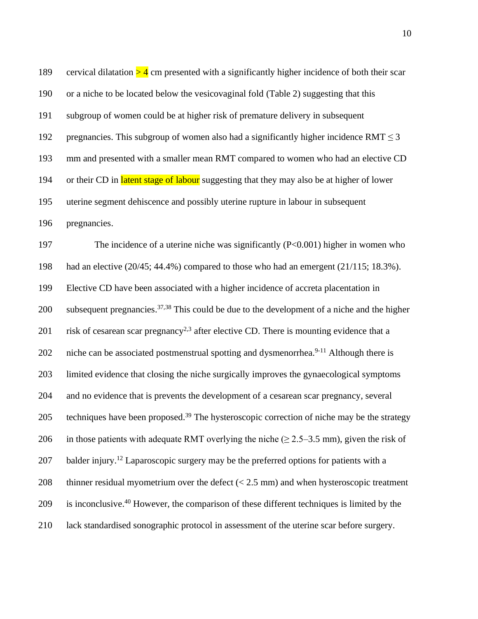189 cervical dilatation  $> 4$  cm presented with a significantly higher incidence of both their scar 190 or a niche to be located below the vesicovaginal fold (Table 2) suggesting that this 191 subgroup of women could be at higher risk of premature delivery in subsequent 192 pregnancies. This subgroup of women also had a significantly higher incidence RMT  $\leq$  3 193 mm and presented with a smaller mean RMT compared to women who had an elective CD 194 or their CD in latent stage of labour suggesting that they may also be at higher of lower 195 uterine segment dehiscence and possibly uterine rupture in labour in subsequent 196 pregnancies. 197 The incidence of a uterine niche was significantly (P<0.001) higher in women who 198 had an elective (20/45; 44.4%) compared to those who had an emergent (21/115; 18.3%). 199 Elective CD have been associated with a higher incidence of accreta placentation in 200 subsequent pregnancies.<sup>37,38</sup> This could be due to the development of a niche and the higher 201 risk of cesarean scar pregnancy<sup>2,3</sup> after elective CD. There is mounting evidence that a 202 niche can be associated postmenstrual spotting and dysmenorrhea.<sup>9-11</sup> Although there is 203 limited evidence that closing the niche surgically improves the gynaecological symptoms 204 and no evidence that is prevents the development of a cesarean scar pregnancy, several 205 techniques have been proposed.<sup>39</sup> The hysteroscopic correction of niche may be the strategy 206 in those patients with adequate RMT overlying the niche ( $\geq$  2.5–3.5 mm), given the risk of 207 balder injury.<sup>12</sup> Laparoscopic surgery may be the preferred options for patients with a 208 thinner residual myometrium over the defect  $(< 2.5$  mm) and when hysteroscopic treatment 209 is inconclusive. <sup>40</sup> However, the comparison of these different techniques is limited by the 210 lack standardised sonographic protocol in assessment of the uterine scar before surgery.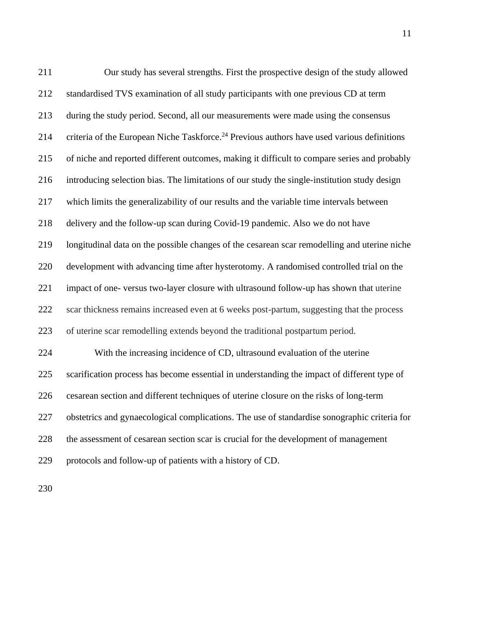| 211 | Our study has several strengths. First the prospective design of the study allowed                     |
|-----|--------------------------------------------------------------------------------------------------------|
| 212 | standardised TVS examination of all study participants with one previous CD at term                    |
| 213 | during the study period. Second, all our measurements were made using the consensus                    |
| 214 | criteria of the European Niche Taskforce. <sup>24</sup> Previous authors have used various definitions |
| 215 | of niche and reported different outcomes, making it difficult to compare series and probably           |
| 216 | introducing selection bias. The limitations of our study the single-institution study design           |
| 217 | which limits the generalizability of our results and the variable time intervals between               |
| 218 | delivery and the follow-up scan during Covid-19 pandemic. Also we do not have                          |
| 219 | longitudinal data on the possible changes of the cesarean scar remodelling and uterine niche           |
| 220 | development with advancing time after hysterotomy. A randomised controlled trial on the                |
| 221 | impact of one-versus two-layer closure with ultrasound follow-up has shown that uterine                |
| 222 | scar thickness remains increased even at 6 weeks post-partum, suggesting that the process              |
| 223 | of uterine scar remodelling extends beyond the traditional postpartum period.                          |
| 224 | With the increasing incidence of CD, ultrasound evaluation of the uterine                              |
| 225 | scarification process has become essential in understanding the impact of different type of            |
| 226 | cesarean section and different techniques of uterine closure on the risks of long-term                 |
| 227 | obstetrics and gynaecological complications. The use of standardise sonographic criteria for           |
| 228 | the assessment of cesarean section scar is crucial for the development of management                   |
| 229 | protocols and follow-up of patients with a history of CD.                                              |
|     |                                                                                                        |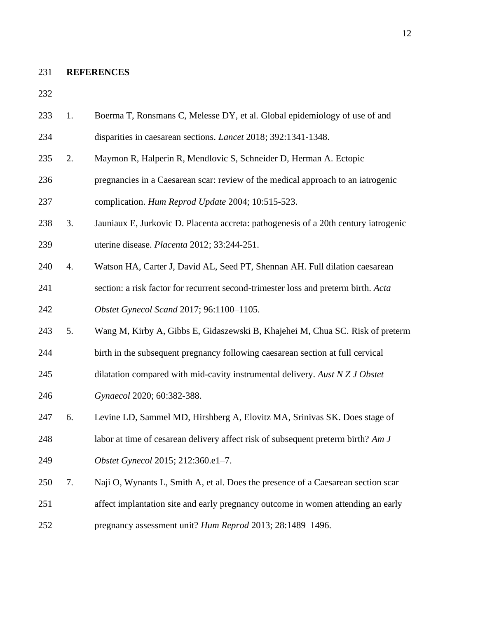#### **REFERENCES**

- 1. Boerma T, Ronsmans C, Melesse DY, et al. Global epidemiology of use of and disparities in caesarean sections. *Lancet* 2018; 392:1341-1348.
- 2. Maymon R, Halperin R, Mendlovic S, Schneider D, Herman A. Ectopic
- pregnancies in a Caesarean scar: review of the medical approach to an iatrogenic complication. *Hum Reprod Update* 2004; 10:515-523.
- 3. Jauniaux E, Jurkovic D. Placenta accreta: pathogenesis of a 20th century iatrogenic uterine disease. *Placenta* 2012; 33:244-251.
- 4. Watson HA, Carter J, David AL, Seed PT, Shennan AH. Full dilation caesarean
- section: a risk factor for recurrent second-trimester loss and preterm birth. *Acta Obstet Gynecol Scand* 2017; 96:1100–1105.
- 5. Wang M, Kirby A, Gibbs E, Gidaszewski B, Khajehei M, Chua SC. Risk of preterm
- birth in the subsequent pregnancy following caesarean section at full cervical
- dilatation compared with mid-cavity instrumental delivery. *Aust N Z J Obstet*
- *Gynaecol* 2020; 60:382-388.
- 6. Levine LD, Sammel MD, Hirshberg A, Elovitz MA, Srinivas SK. Does stage of
- labor at time of cesarean delivery affect risk of subsequent preterm birth? *Am J*
- *Obstet Gynecol* 2015; 212:360.e1–7.
- 7. Naji O, Wynants L, Smith A, et al. Does the presence of a Caesarean section scar affect implantation site and early pregnancy outcome in women attending an early pregnancy assessment unit? *Hum Reprod* 2013; 28:1489–1496.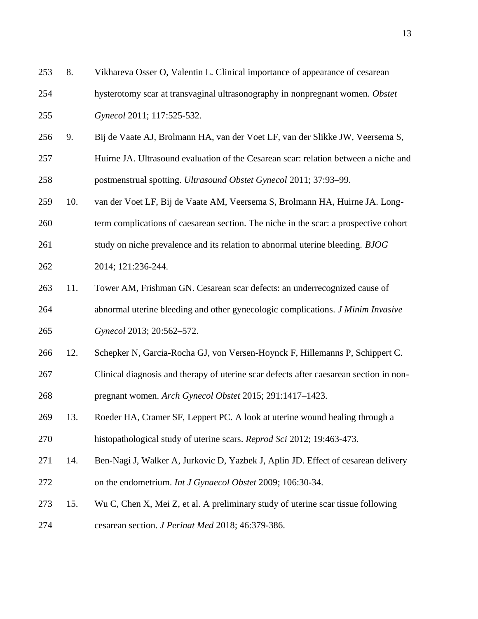| 253 | 8.  | Vikhareva Osser O, Valentin L. Clinical importance of appearance of cesarean           |
|-----|-----|----------------------------------------------------------------------------------------|
| 254 |     | hysterotomy scar at transvaginal ultrasonography in nonpregnant women. Obstet          |
| 255 |     | Gynecol 2011; 117:525-532.                                                             |
| 256 | 9.  | Bij de Vaate AJ, Brolmann HA, van der Voet LF, van der Slikke JW, Veersema S,          |
| 257 |     | Huirne JA. Ultrasound evaluation of the Cesarean scar: relation between a niche and    |
| 258 |     | postmenstrual spotting. Ultrasound Obstet Gynecol 2011; 37:93-99.                      |
| 259 | 10. | van der Voet LF, Bij de Vaate AM, Veersema S, Brolmann HA, Huirne JA. Long-            |
| 260 |     | term complications of caesarean section. The niche in the scar: a prospective cohort   |
| 261 |     | study on niche prevalence and its relation to abnormal uterine bleeding. BJOG          |
| 262 |     | 2014; 121:236-244.                                                                     |
| 263 | 11. | Tower AM, Frishman GN. Cesarean scar defects: an underrecognized cause of              |
| 264 |     | abnormal uterine bleeding and other gynecologic complications. J Minim Invasive        |
| 265 |     | Gynecol 2013; 20:562-572.                                                              |
| 266 | 12. | Schepker N, Garcia-Rocha GJ, von Versen-Hoynck F, Hillemanns P, Schippert C.           |
| 267 |     | Clinical diagnosis and therapy of uterine scar defects after caesarean section in non- |
| 268 |     | pregnant women. Arch Gynecol Obstet 2015; 291:1417-1423.                               |
| 269 | 13. | Roeder HA, Cramer SF, Leppert PC. A look at uterine wound healing through a            |
| 270 |     | histopathological study of uterine scars. Reprod Sci 2012; 19:463-473.                 |
| 271 | 14. | Ben-Nagi J, Walker A, Jurkovic D, Yazbek J, Aplin JD. Effect of cesarean delivery      |
| 272 |     | on the endometrium. Int J Gynaecol Obstet 2009; 106:30-34.                             |
| 273 | 15. | Wu C, Chen X, Mei Z, et al. A preliminary study of uterine scar tissue following       |
| 274 |     | cesarean section. J Perinat Med 2018; 46:379-386.                                      |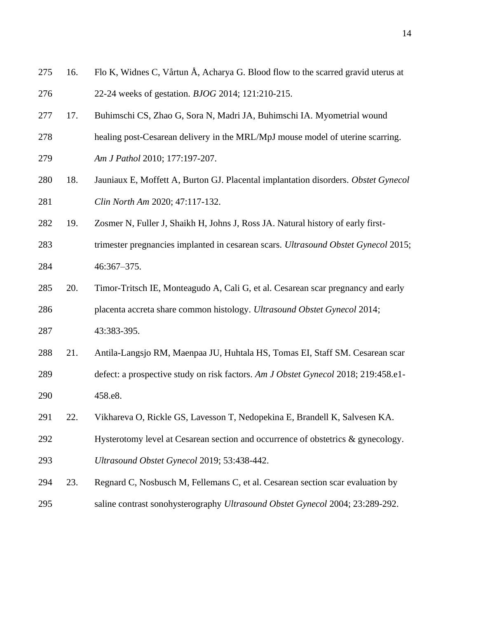| 275 | 16. | Flo K, Widnes C, Vårtun Å, Acharya G. Blood flow to the scarred gravid uterus at   |
|-----|-----|------------------------------------------------------------------------------------|
| 276 |     | 22-24 weeks of gestation. <i>BJOG</i> 2014; 121:210-215.                           |
| 277 | 17. | Buhimschi CS, Zhao G, Sora N, Madri JA, Buhimschi IA. Myometrial wound             |
| 278 |     | healing post-Cesarean delivery in the MRL/MpJ mouse model of uterine scarring.     |
| 279 |     | Am J Pathol 2010; 177:197-207.                                                     |
| 280 | 18. | Jauniaux E, Moffett A, Burton GJ. Placental implantation disorders. Obstet Gynecol |
| 281 |     | Clin North Am 2020; 47:117-132.                                                    |
| 282 | 19. | Zosmer N, Fuller J, Shaikh H, Johns J, Ross JA. Natural history of early first-    |
| 283 |     | trimester pregnancies implanted in cesarean scars. Ultrasound Obstet Gynecol 2015; |
| 284 |     | 46:367-375.                                                                        |
| 285 | 20. | Timor-Tritsch IE, Monteagudo A, Cali G, et al. Cesarean scar pregnancy and early   |
| 286 |     | placenta accreta share common histology. Ultrasound Obstet Gynecol 2014;           |
| 287 |     | 43:383-395.                                                                        |
| 288 | 21. | Antila-Langsjo RM, Maenpaa JU, Huhtala HS, Tomas EI, Staff SM. Cesarean scar       |
| 289 |     | defect: a prospective study on risk factors. Am J Obstet Gynecol 2018; 219:458.e1- |
| 290 |     | 458.e8.                                                                            |
| 291 | 22. | Vikhareva O, Rickle GS, Lavesson T, Nedopekina E, Brandell K, Salvesen KA.         |
| 292 |     | Hysterotomy level at Cesarean section and occurrence of obstetrics & gynecology.   |
| 293 |     | Ultrasound Obstet Gynecol 2019; 53:438-442.                                        |
| 294 | 23. | Regnard C, Nosbusch M, Fellemans C, et al. Cesarean section scar evaluation by     |
| 295 |     | saline contrast sonohysterography Ultrasound Obstet Gynecol 2004; 23:289-292.      |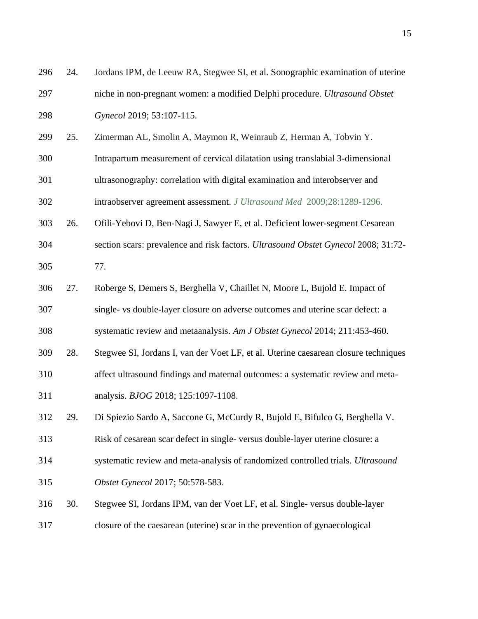| 296 | 24. | Jordans IPM, de Leeuw RA, Stegwee SI, et al. Sonographic examination of uterine     |
|-----|-----|-------------------------------------------------------------------------------------|
| 297 |     | niche in non-pregnant women: a modified Delphi procedure. Ultrasound Obstet         |
| 298 |     | Gynecol 2019; 53:107-115.                                                           |
| 299 | 25. | Zimerman AL, Smolin A, Maymon R, Weinraub Z, Herman A, Tobvin Y.                    |
| 300 |     | Intrapartum measurement of cervical dilatation using translabial 3-dimensional      |
| 301 |     | ultrasonography: correlation with digital examination and interobserver and         |
| 302 |     | intraobserver agreement assessment. J Ultrasound Med 2009;28:1289-1296.             |
| 303 | 26. | Ofili-Yebovi D, Ben-Nagi J, Sawyer E, et al. Deficient lower-segment Cesarean       |
| 304 |     | section scars: prevalence and risk factors. Ultrasound Obstet Gynecol 2008; 31:72-  |
| 305 |     | 77.                                                                                 |
| 306 | 27. | Roberge S, Demers S, Berghella V, Chaillet N, Moore L, Bujold E. Impact of          |
| 307 |     | single- vs double-layer closure on adverse outcomes and uterine scar defect: a      |
| 308 |     | systematic review and metaanalysis. Am J Obstet Gynecol 2014; 211:453-460.          |
| 309 | 28. | Stegwee SI, Jordans I, van der Voet LF, et al. Uterine caesarean closure techniques |
| 310 |     | affect ultrasound findings and maternal outcomes: a systematic review and meta-     |
| 311 |     | analysis. BJOG 2018; 125:1097-1108.                                                 |
| 312 | 29. | Di Spiezio Sardo A, Saccone G, McCurdy R, Bujold E, Bifulco G, Berghella V.         |
| 313 |     | Risk of cesarean scar defect in single-versus double-layer uterine closure: a       |
| 314 |     | systematic review and meta-analysis of randomized controlled trials. Ultrasound     |
| 315 |     | Obstet Gynecol 2017; 50:578-583.                                                    |
| 316 | 30. | Stegwee SI, Jordans IPM, van der Voet LF, et al. Single- versus double-layer        |
| 317 |     | closure of the caesarean (uterine) scar in the prevention of gynaecological         |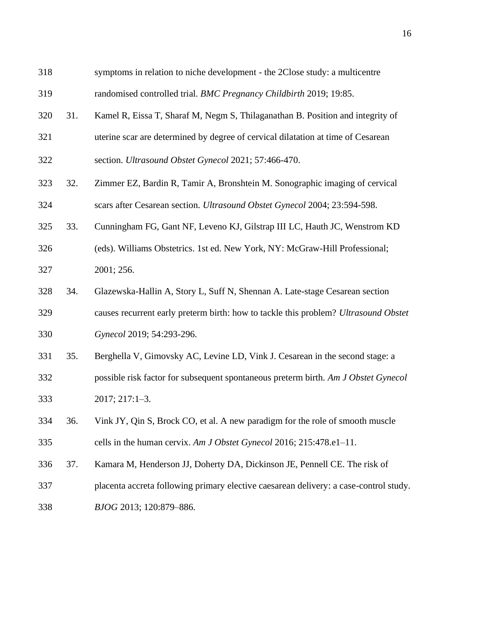| 318 |     | symptoms in relation to niche development - the 2Close study: a multicentre           |
|-----|-----|---------------------------------------------------------------------------------------|
| 319 |     | randomised controlled trial. BMC Pregnancy Childbirth 2019; 19:85.                    |
| 320 | 31. | Kamel R, Eissa T, Sharaf M, Negm S, Thilaganathan B. Position and integrity of        |
| 321 |     | uterine scar are determined by degree of cervical dilatation at time of Cesarean      |
| 322 |     | section. Ultrasound Obstet Gynecol 2021; 57:466-470.                                  |
| 323 | 32. | Zimmer EZ, Bardin R, Tamir A, Bronshtein M. Sonographic imaging of cervical           |
| 324 |     | scars after Cesarean section. Ultrasound Obstet Gynecol 2004; 23:594-598.             |
| 325 | 33. | Cunningham FG, Gant NF, Leveno KJ, Gilstrap III LC, Hauth JC, Wenstrom KD             |
| 326 |     | (eds). Williams Obstetrics. 1st ed. New York, NY: McGraw-Hill Professional;           |
| 327 |     | 2001; 256.                                                                            |
| 328 | 34. | Glazewska-Hallin A, Story L, Suff N, Shennan A. Late-stage Cesarean section           |
| 329 |     | causes recurrent early preterm birth: how to tackle this problem? Ultrasound Obstet   |
| 330 |     | Gynecol 2019; 54:293-296.                                                             |
| 331 | 35. | Berghella V, Gimovsky AC, Levine LD, Vink J. Cesarean in the second stage: a          |
| 332 |     | possible risk factor for subsequent spontaneous preterm birth. Am J Obstet Gynecol    |
| 333 |     | 2017; 217:1-3.                                                                        |
| 334 | 36. | Vink JY, Qin S, Brock CO, et al. A new paradigm for the role of smooth muscle         |
| 335 |     | cells in the human cervix. Am J Obstet Gynecol 2016; 215:478.e1-11.                   |
| 336 | 37. | Kamara M, Henderson JJ, Doherty DA, Dickinson JE, Pennell CE. The risk of             |
| 337 |     | placenta accreta following primary elective caesarean delivery: a case-control study. |
| 338 |     | BJOG 2013; 120:879-886.                                                               |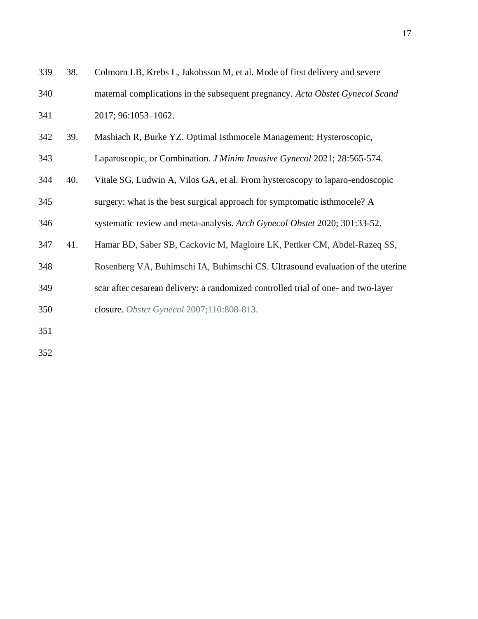| 339 | 38. | Colmorn LB, Krebs L, Jakobsson M, et al. Mode of first delivery and severe        |
|-----|-----|-----------------------------------------------------------------------------------|
| 340 |     | maternal complications in the subsequent pregnancy. Acta Obstet Gynecol Scand     |
| 341 |     | 2017; 96:1053-1062.                                                               |
| 342 | 39. | Mashiach R, Burke YZ. Optimal Isthmocele Management: Hysteroscopic,               |
| 343 |     | Laparoscopic, or Combination. J Minim Invasive Gynecol 2021; 28:565-574.          |
| 344 | 40. | Vitale SG, Ludwin A, Vilos GA, et al. From hysteroscopy to laparo-endoscopic      |
| 345 |     | surgery: what is the best surgical approach for symptomatic is the model? A       |
| 346 |     | systematic review and meta-analysis. Arch Gynecol Obstet 2020; 301:33-52.         |
| 347 | 41. | Hamar BD, Saber SB, Cackovic M, Magloire LK, Pettker CM, Abdel-Razeq SS,          |
| 348 |     | Rosenberg VA, Buhimschi IA, Buhimschi CS. Ultrasound evaluation of the uterine    |
| 349 |     | scar after cesarean delivery: a randomized controlled trial of one- and two-layer |
| 350 |     | closure. Obstet Gynecol 2007;110:808-813.                                         |
| 351 |     |                                                                                   |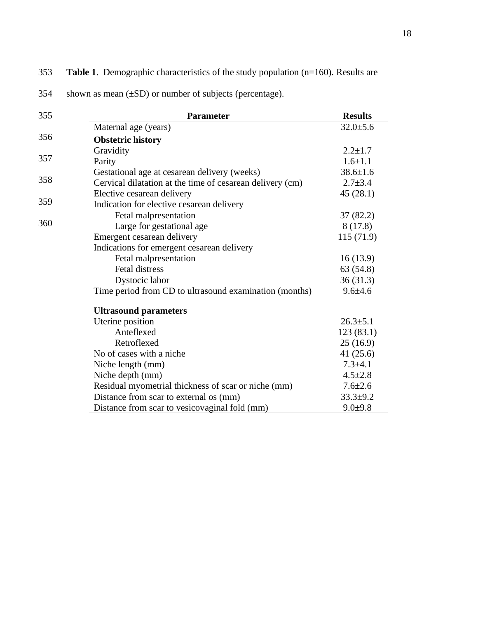| 355 | <b>Parameter</b>                                          | <b>Results</b> |
|-----|-----------------------------------------------------------|----------------|
|     | Maternal age (years)                                      | $32.0 \pm 5.6$ |
| 356 | <b>Obstetric history</b>                                  |                |
|     | Gravidity                                                 | $2.2 \pm 1.7$  |
| 357 | Parity                                                    | $1.6 \pm 1.1$  |
|     | Gestational age at cesarean delivery (weeks)              | $38.6 \pm 1.6$ |
| 358 | Cervical dilatation at the time of cesarean delivery (cm) | $2.7 \pm 3.4$  |
|     | Elective cesarean delivery                                | 45(28.1)       |
| 359 | Indication for elective cesarean delivery                 |                |
|     | Fetal malpresentation                                     | 37(82.2)       |
| 360 | Large for gestational age                                 | 8(17.8)        |
|     | Emergent cesarean delivery                                | 115(71.9)      |
|     | Indications for emergent cesarean delivery                |                |
|     | Fetal malpresentation                                     | 16(13.9)       |
|     | <b>Fetal distress</b>                                     | 63 (54.8)      |
|     | Dystocic labor                                            | 36(31.3)       |
|     | Time period from CD to ultrasound examination (months)    | $9.6 + 4.6$    |
|     | <b>Ultrasound parameters</b>                              |                |
|     | Uterine position                                          | $26.3 \pm 5.1$ |
|     | Anteflexed                                                | 123(83.1)      |
|     | Retroflexed                                               | 25(16.9)       |
|     | No of cases with a niche                                  | 41 $(25.6)$    |
|     | Niche length (mm)                                         | $7.3 + 4.1$    |
|     | Niche depth (mm)                                          | $4.5 \pm 2.8$  |
|     | Residual myometrial thickness of scar or niche (mm)       | $7.6 \pm 2.6$  |
|     | Distance from scar to external os (mm)                    | $33.3 + 9.2$   |
|     | Distance from scar to vesicovaginal fold (mm)             | $9.0 + 9.8$    |

## 353 **Table 1**. Demographic characteristics of the study population (n=160). Results are

354 shown as mean (±SD) or number of subjects (percentage).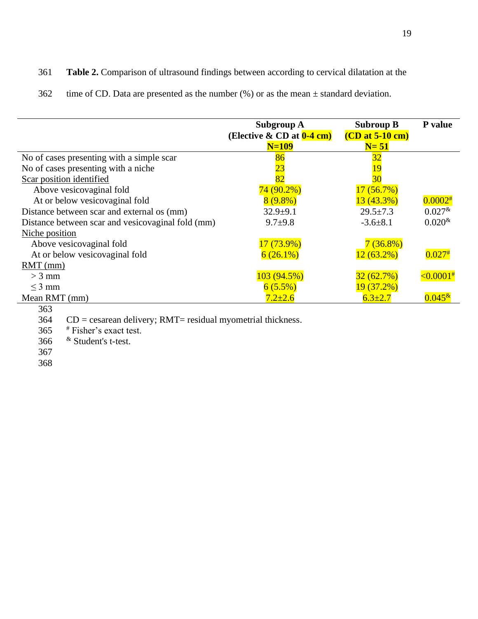## 361 **Table 2.** Comparison of ultrasound findings between according to cervical dilatation at the

362 time of CD. Data are presented as the number  $(\%)$  or as the mean  $\pm$  standard deviation.

|                                                   | Subgroup A<br>(Elective $\&$ CD at $0-4$ cm)<br>$N=109$ | <b>Subroup B</b><br>$(CD at 5-10 cm)$<br>$N=51$ | P value           |
|---------------------------------------------------|---------------------------------------------------------|-------------------------------------------------|-------------------|
| No of cases presenting with a simple scar         | 86                                                      | 32                                              |                   |
| No of cases presenting with a niche               | <u>23</u>                                               |                                                 |                   |
| Scar position identified                          | 82                                                      | 30                                              |                   |
| Above vesicovaginal fold                          | $74(90.2\%)$                                            | 17(56.7%)                                       |                   |
| At or below vesicovaginal fold                    | $8(9.8\%)$                                              | 13(43.3%)                                       | $0.0002*$         |
| Distance between scar and external os (mm)        | $32.9+9.1$                                              | $29.5 \pm 7.3$                                  | $0.027^*$         |
| Distance between scar and vesicovaginal fold (mm) | $9.7 + 9.8$                                             | $-3.6\pm 8.1$                                   | $0.020^{\&}$      |
| Niche position                                    |                                                         |                                                 |                   |
| Above vesicovaginal fold                          | $17(73.9\%)$                                            | $7(36.8\%)$                                     |                   |
| At or below vesicovaginal fold                    | $6(26.1\%)$                                             | $12(63.2\%)$                                    | $0.027^{#}$       |
| $RMT$ (mm)                                        |                                                         |                                                 |                   |
| $>$ 3 mm                                          | 103(94.5%)                                              | 32(62.7%)                                       | $\leq 0.0001^{#}$ |
| $<$ 3 mm                                          | 6(5.5%)                                                 | 19(37.2%)                                       |                   |
| Mean RMT (mm)                                     | $7.2 + 2.6$                                             | $6.3 \pm 2.7$                                   | $0.045*$          |
| 363                                               |                                                         |                                                 |                   |

364 CD = cesarean delivery; RMT= residual myometrial thickness.

 $365$  # Fisher's exact test.

366  $\&$  Student's t-test.

367